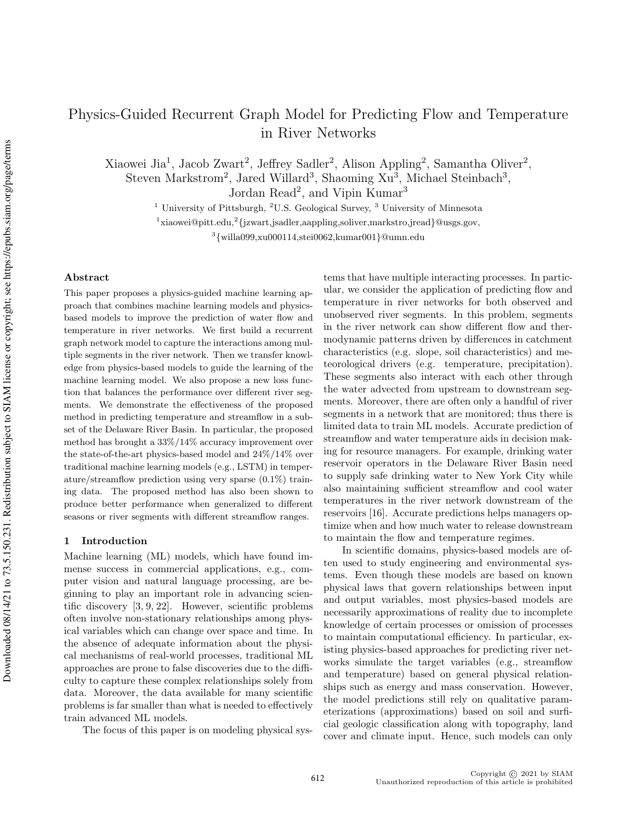# Physics-Guided Recurrent Graph Model for Predicting Flow and Temperature in River Networks

Xiaowei Jia<sup>1</sup>, Jacob Zwart<sup>2</sup>, Jeffrey Sadler<sup>2</sup>, Alison Appling<sup>2</sup>, Samantha Oliver<sup>2</sup>, Steven Markstrom<sup>2</sup>, Jared Willard<sup>3</sup>, Shaoming Xu<sup>3</sup>, Michael Steinbach<sup>3</sup>, Jordan Read<sup>2</sup>, and Vipin Kumar<sup>3</sup>

<sup>1</sup> University of Pittsburgh, <sup>2</sup>U.S. Geological Survey, <sup>3</sup> University of Minnesota

 $^{1}$ xiaowei@pitt.edu, $^{2}$ {jzwart,jsadler,aappling,soliver,markstro,jread}@usgs.gov,

3 {willa099,xu000114,stei0062,kumar001}@umn.edu

#### Abstract

This paper proposes a physics-guided machine learning approach that combines machine learning models and physicsbased models to improve the prediction of water flow and temperature in river networks. We first build a recurrent graph network model to capture the interactions among multiple segments in the river network. Then we transfer knowledge from physics-based models to guide the learning of the machine learning model. We also propose a new loss function that balances the performance over different river segments. We demonstrate the effectiveness of the proposed method in predicting temperature and streamflow in a subset of the Delaware River Basin. In particular, the proposed method has brought a 33%/14% accuracy improvement over the state-of-the-art physics-based model and 24%/14% over traditional machine learning models (e.g., LSTM) in temperature/streamflow prediction using very sparse (0.1%) training data. The proposed method has also been shown to produce better performance when generalized to different seasons or river segments with different streamflow ranges.

## 1 Introduction

Machine learning (ML) models, which have found immense success in commercial applications, e.g., computer vision and natural language processing, are beginning to play an important role in advancing scientific discovery [3, 9, 22]. However, scientific problems often involve non-stationary relationships among physical variables which can change over space and time. In the absence of adequate information about the physical mechanisms of real-world processes, traditional ML approaches are prone to false discoveries due to the difficulty to capture these complex relationships solely from data. Moreover, the data available for many scientific problems is far smaller than what is needed to effectively train advanced ML models.

The focus of this paper is on modeling physical sys-

tems that have multiple interacting processes. In particular, we consider the application of predicting flow and temperature in river networks for both observed and unobserved river segments. In this problem, segments in the river network can show different flow and thermodynamic patterns driven by differences in catchment characteristics (e.g. slope, soil characteristics) and meteorological drivers (e.g. temperature, precipitation). These segments also interact with each other through the water advected from upstream to downstream segments. Moreover, there are often only a handful of river segments in a network that are monitored; thus there is limited data to train ML models. Accurate prediction of streamflow and water temperature aids in decision making for resource managers. For example, drinking water reservoir operators in the Delaware River Basin need to supply safe drinking water to New York City while also maintaining sufficient streamflow and cool water temperatures in the river network downstream of the reservoirs [16]. Accurate predictions helps managers optimize when and how much water to release downstream to maintain the flow and temperature regimes.

In scientific domains, physics-based models are often used to study engineering and environmental systems. Even though these models are based on known physical laws that govern relationships between input and output variables, most physics-based models are necessarily approximations of reality due to incomplete knowledge of certain processes or omission of processes to maintain computational efficiency. In particular, existing physics-based approaches for predicting river networks simulate the target variables (e.g., streamflow and temperature) based on general physical relationships such as energy and mass conservation. However, the model predictions still rely on qualitative parameterizations (approximations) based on soil and surficial geologic classification along with topography, land cover and climate input. Hence, such models can only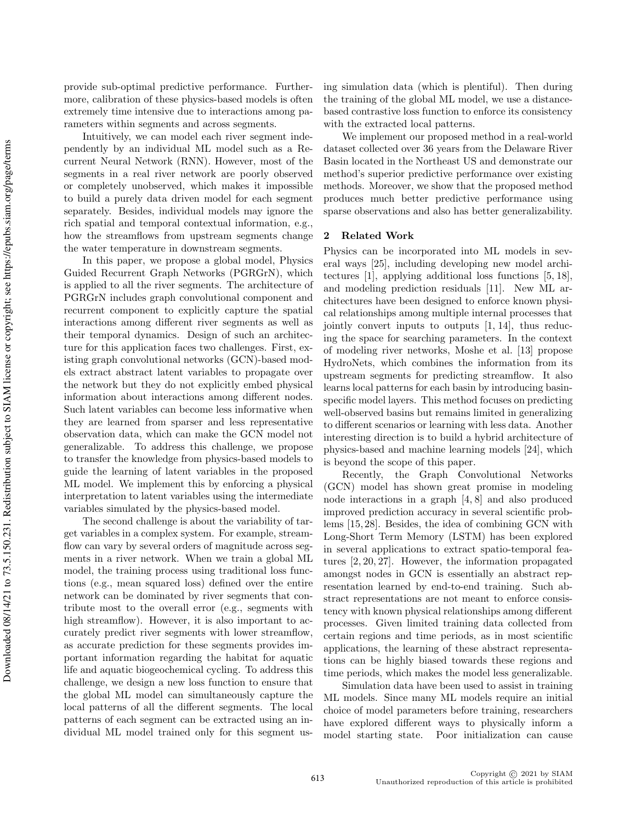provide sub-optimal predictive performance. Furthermore, calibration of these physics-based models is often extremely time intensive due to interactions among parameters within segments and across segments.

Intuitively, we can model each river segment independently by an individual ML model such as a Recurrent Neural Network (RNN). However, most of the segments in a real river network are poorly observed or completely unobserved, which makes it impossible to build a purely data driven model for each segment separately. Besides, individual models may ignore the rich spatial and temporal contextual information, e.g., how the streamflows from upstream segments change the water temperature in downstream segments.

In this paper, we propose a global model, Physics Guided Recurrent Graph Networks (PGRGrN), which is applied to all the river segments. The architecture of PGRGrN includes graph convolutional component and recurrent component to explicitly capture the spatial interactions among different river segments as well as their temporal dynamics. Design of such an architecture for this application faces two challenges. First, existing graph convolutional networks (GCN)-based models extract abstract latent variables to propagate over the network but they do not explicitly embed physical information about interactions among different nodes. Such latent variables can become less informative when they are learned from sparser and less representative observation data, which can make the GCN model not generalizable. To address this challenge, we propose to transfer the knowledge from physics-based models to guide the learning of latent variables in the proposed ML model. We implement this by enforcing a physical interpretation to latent variables using the intermediate variables simulated by the physics-based model.

The second challenge is about the variability of target variables in a complex system. For example, streamflow can vary by several orders of magnitude across segments in a river network. When we train a global ML model, the training process using traditional loss functions (e.g., mean squared loss) defined over the entire network can be dominated by river segments that contribute most to the overall error (e.g., segments with high streamflow). However, it is also important to accurately predict river segments with lower streamflow, as accurate prediction for these segments provides important information regarding the habitat for aquatic life and aquatic biogeochemical cycling. To address this challenge, we design a new loss function to ensure that the global ML model can simultaneously capture the local patterns of all the different segments. The local patterns of each segment can be extracted using an individual ML model trained only for this segment using simulation data (which is plentiful). Then during the training of the global ML model, we use a distancebased contrastive loss function to enforce its consistency with the extracted local patterns.

We implement our proposed method in a real-world dataset collected over 36 years from the Delaware River Basin located in the Northeast US and demonstrate our method's superior predictive performance over existing methods. Moreover, we show that the proposed method produces much better predictive performance using sparse observations and also has better generalizability.

#### 2 Related Work

Physics can be incorporated into ML models in several ways [25], including developing new model architectures [1], applying additional loss functions [5, 18], and modeling prediction residuals [11]. New ML architectures have been designed to enforce known physical relationships among multiple internal processes that jointly convert inputs to outputs [1, 14], thus reducing the space for searching parameters. In the context of modeling river networks, Moshe et al. [13] propose HydroNets, which combines the information from its upstream segments for predicting streamflow. It also learns local patterns for each basin by introducing basinspecific model layers. This method focuses on predicting well-observed basins but remains limited in generalizing to different scenarios or learning with less data. Another interesting direction is to build a hybrid architecture of physics-based and machine learning models [24], which is beyond the scope of this paper.

Recently, the Graph Convolutional Networks (GCN) model has shown great promise in modeling node interactions in a graph [4, 8] and also produced improved prediction accuracy in several scientific problems [15, 28]. Besides, the idea of combining GCN with Long-Short Term Memory (LSTM) has been explored in several applications to extract spatio-temporal features [2, 20, 27]. However, the information propagated amongst nodes in GCN is essentially an abstract representation learned by end-to-end training. Such abstract representations are not meant to enforce consistency with known physical relationships among different processes. Given limited training data collected from certain regions and time periods, as in most scientific applications, the learning of these abstract representations can be highly biased towards these regions and time periods, which makes the model less generalizable.

Simulation data have been used to assist in training ML models. Since many ML models require an initial choice of model parameters before training, researchers have explored different ways to physically inform a model starting state. Poor initialization can cause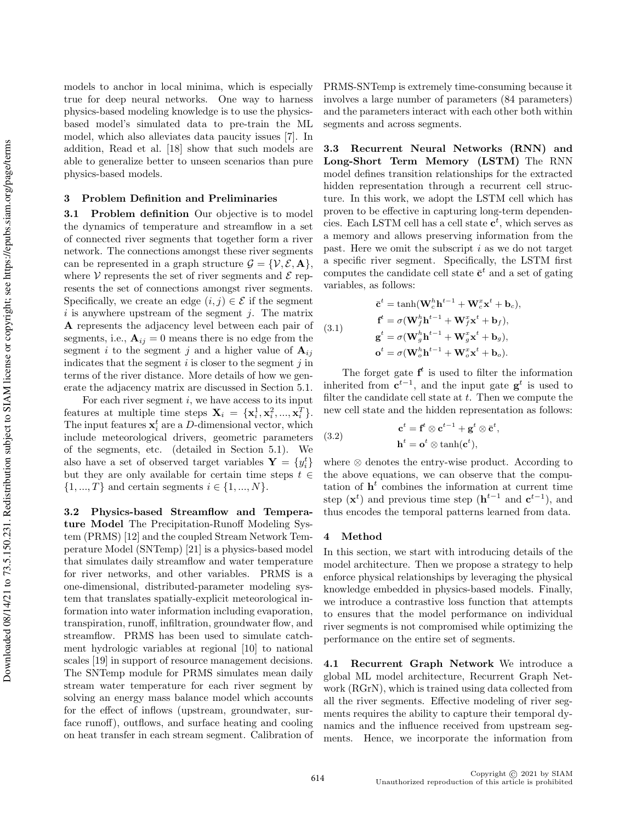models to anchor in local minima, which is especially true for deep neural networks. One way to harness physics-based modeling knowledge is to use the physicsbased model's simulated data to pre-train the ML model, which also alleviates data paucity issues [7]. In addition, Read et al. [18] show that such models are able to generalize better to unseen scenarios than pure physics-based models.

# 3 Problem Definition and Preliminaries

3.1 Problem definition Our objective is to model the dynamics of temperature and streamflow in a set of connected river segments that together form a river network. The connections amongst these river segments can be represented in a graph structure  $\mathcal{G} = \{ \mathcal{V}, \mathcal{E}, \mathbf{A} \},\$ where V represents the set of river segments and  $\mathcal E$  represents the set of connections amongst river segments. Specifically, we create an edge  $(i, j) \in \mathcal{E}$  if the segment  $i$  is anywhere upstream of the segment  $j$ . The matrix A represents the adjacency level between each pair of segments, i.e.,  $\mathbf{A}_{ij} = 0$  means there is no edge from the segment i to the segment j and a higher value of  $A_{ij}$ indicates that the segment  $i$  is closer to the segment  $j$  in terms of the river distance. More details of how we generate the adjacency matrix are discussed in Section 5.1.

For each river segment  $i$ , we have access to its input features at multiple time steps  $\mathbf{X}_i = {\mathbf{x}_i^1, \mathbf{x}_i^2, ..., \mathbf{x}_i^T}$ . The input features  $\mathbf{x}_i^t$  are a D-dimensional vector, which include meteorological drivers, geometric parameters of the segments, etc. (detailed in Section 5.1). We also have a set of observed target variables  $\mathbf{Y} = \{y_i^t\}$ but they are only available for certain time steps  $t \in$  $\{1, ..., T\}$  and certain segments  $i \in \{1, ..., N\}$ .

3.2 Physics-based Streamflow and Temperature Model The Precipitation-Runoff Modeling System (PRMS) [12] and the coupled Stream Network Temperature Model (SNTemp) [21] is a physics-based model that simulates daily streamflow and water temperature for river networks, and other variables. PRMS is a one-dimensional, distributed-parameter modeling system that translates spatially-explicit meteorological information into water information including evaporation, transpiration, runoff, infiltration, groundwater flow, and streamflow. PRMS has been used to simulate catchment hydrologic variables at regional [10] to national scales [19] in support of resource management decisions. The SNTemp module for PRMS simulates mean daily stream water temperature for each river segment by solving an energy mass balance model which accounts for the effect of inflows (upstream, groundwater, surface runoff), outflows, and surface heating and cooling on heat transfer in each stream segment. Calibration of PRMS-SNTemp is extremely time-consuming because it involves a large number of parameters (84 parameters) and the parameters interact with each other both within segments and across segments.

3.3 Recurrent Neural Networks (RNN) and Long-Short Term Memory (LSTM) The RNN model defines transition relationships for the extracted hidden representation through a recurrent cell structure. In this work, we adopt the LSTM cell which has proven to be effective in capturing long-term dependencies. Each LSTM cell has a cell state  $\mathbf{c}^t$ , which serves as a memory and allows preserving information from the past. Here we omit the subscript  $i$  as we do not target a specific river segment. Specifically, the LSTM first computes the candidate cell state  $\bar{\mathbf{c}}^t$  and a set of gating variables, as follows:

(3.1)  
\n
$$
\bar{\mathbf{c}}^{t} = \tanh(\mathbf{W}_{c}^{h} \mathbf{h}^{t-1} + \mathbf{W}_{c}^{x} \mathbf{x}^{t} + \mathbf{b}_{c}),
$$
\n
$$
\mathbf{f}^{t} = \sigma(\mathbf{W}_{f}^{h} \mathbf{h}^{t-1} + \mathbf{W}_{f}^{x} \mathbf{x}^{t} + \mathbf{b}_{f}),
$$
\n
$$
\mathbf{g}^{t} = \sigma(\mathbf{W}_{g}^{h} \mathbf{h}^{t-1} + \mathbf{W}_{g}^{x} \mathbf{x}^{t} + \mathbf{b}_{g}),
$$
\n
$$
\mathbf{o}^{t} = \sigma(\mathbf{W}_{o}^{h} \mathbf{h}^{t-1} + \mathbf{W}_{o}^{x} \mathbf{x}^{t} + \mathbf{b}_{o}).
$$

The forget gate  $f^t$  is used to filter the information inherited from  $\mathbf{c}^{t-1}$ , and the input gate  $\mathbf{g}^t$  is used to filter the candidate cell state at  $t$ . Then we compute the new cell state and the hidden representation as follows:

(3.2) 
$$
\mathbf{c}^{t} = \mathbf{f}^{t} \otimes \mathbf{c}^{t-1} + \mathbf{g}^{t} \otimes \mathbf{\bar{c}}^{t},
$$

$$
\mathbf{h}^{t} = \mathbf{o}^{t} \otimes \tanh(\mathbf{c}^{t}),
$$

where ⊗ denotes the entry-wise product. According to the above equations, we can observe that the computation of  $h<sup>t</sup>$  combines the information at current time step  $(\mathbf{x}^t)$  and previous time step  $(\mathbf{h}^{t-1})$  and  $\mathbf{c}^{t-1}$ , and thus encodes the temporal patterns learned from data.

#### 4 Method

In this section, we start with introducing details of the model architecture. Then we propose a strategy to help enforce physical relationships by leveraging the physical knowledge embedded in physics-based models. Finally, we introduce a contrastive loss function that attempts to ensures that the model performance on individual river segments is not compromised while optimizing the performance on the entire set of segments.

4.1 Recurrent Graph Network We introduce a global ML model architecture, Recurrent Graph Network (RGrN), which is trained using data collected from all the river segments. Effective modeling of river segments requires the ability to capture their temporal dynamics and the influence received from upstream segments. Hence, we incorporate the information from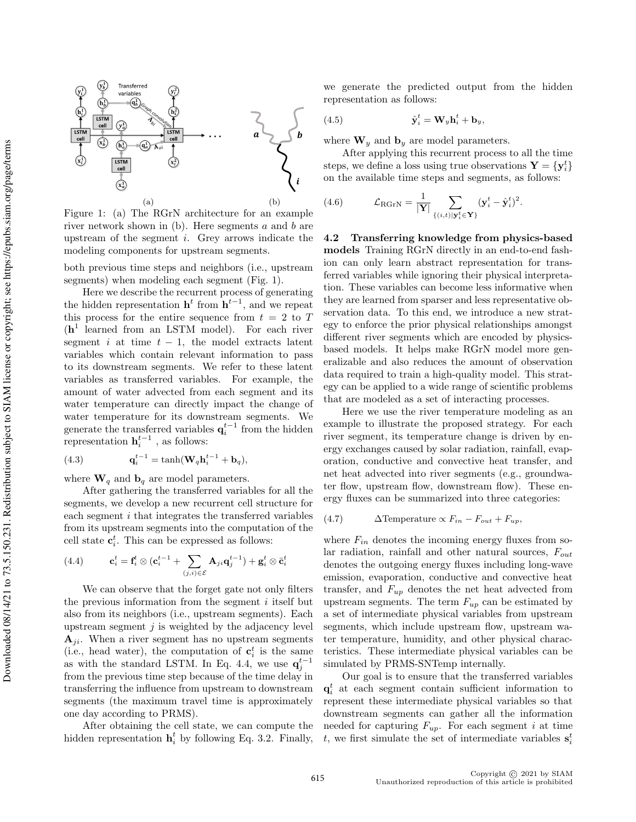

Figure 1: (a) The RGrN architecture for an example river network shown in  $(b)$ . Here segments a and b are upstream of the segment  $i$ . Grey arrows indicate the modeling components for upstream segments.

both previous time steps and neighbors (i.e., upstream segments) when modeling each segment (Fig. 1).

Here we describe the recurrent process of generating the hidden representation  $\mathbf{h}^{t}$  from  $\mathbf{h}^{t-1}$ , and we repeat this process for the entire sequence from  $t = 2$  to T (h 1 learned from an LSTM model). For each river segment i at time  $t - 1$ , the model extracts latent variables which contain relevant information to pass to its downstream segments. We refer to these latent variables as transferred variables. For example, the amount of water advected from each segment and its water temperature can directly impact the change of water temperature for its downstream segments. We generate the transferred variables  $\mathbf{q}_i^{t-1}$  from the hidden representation  $\mathbf{h}_i^{t-1}$ , as follows:

(4.3) 
$$
\mathbf{q}_{i}^{t-1} = \tanh(\mathbf{W}_{q}\mathbf{h}_{i}^{t-1} + \mathbf{b}_{q}),
$$

where  $\mathbf{W}_q$  and  $\mathbf{b}_q$  are model parameters.

After gathering the transferred variables for all the segments, we develop a new recurrent cell structure for each segment i that integrates the transferred variables from its upstream segments into the computation of the cell state  $\mathbf{c}_i^t$ . This can be expressed as follows:

(4.4) 
$$
\mathbf{c}_i^t = \mathbf{f}_i^t \otimes (\mathbf{c}_i^{t-1} + \sum_{(j,i) \in \mathcal{E}} \mathbf{A}_{ji} \mathbf{q}_j^{t-1}) + \mathbf{g}_i^t \otimes \bar{\mathbf{c}}_i^t
$$

We can observe that the forget gate not only filters the previous information from the segment  $i$  itself but also from its neighbors (i.e., upstream segments). Each upstream segment  $j$  is weighted by the adjacency level  $A_{ji}$ . When a river segment has no upstream segments (i.e., head water), the computation of  $\mathbf{c}_i^t$  is the same as with the standard LSTM. In Eq. 4.4, we use  $q_j^{t-1}$ from the previous time step because of the time delay in transferring the influence from upstream to downstream segments (the maximum travel time is approximately one day according to PRMS).

After obtaining the cell state, we can compute the hidden representation  $\mathbf{h}_i^t$  by following Eq. 3.2. Finally,

we generate the predicted output from the hidden representation as follows:

(4.5) 
$$
\hat{\mathbf{y}}_i^t = \mathbf{W}_y \mathbf{h}_i^t + \mathbf{b}_y,
$$

where  $\mathbf{W}_y$  and  $\mathbf{b}_y$  are model parameters.

After applying this recurrent process to all the time steps, we define a loss using true observations  $\mathbf{Y} = \{\mathbf{y}_i^t\}$ on the available time steps and segments, as follows:

(4.6) 
$$
\mathcal{L}_{\text{RGrN}} = \frac{1}{|\mathbf{Y}|} \sum_{\{(i,t)|\mathbf{y}_i^t \in \mathbf{Y}\}} (\mathbf{y}_i^t - \hat{\mathbf{y}}_i^t)^2.
$$

4.2 Transferring knowledge from physics-based models Training RGrN directly in an end-to-end fashion can only learn abstract representation for transferred variables while ignoring their physical interpretation. These variables can become less informative when they are learned from sparser and less representative observation data. To this end, we introduce a new strategy to enforce the prior physical relationships amongst different river segments which are encoded by physicsbased models. It helps make RGrN model more generalizable and also reduces the amount of observation data required to train a high-quality model. This strategy can be applied to a wide range of scientific problems that are modeled as a set of interacting processes.

Here we use the river temperature modeling as an example to illustrate the proposed strategy. For each river segment, its temperature change is driven by energy exchanges caused by solar radiation, rainfall, evaporation, conductive and convective heat transfer, and net heat advected into river segments (e.g., groundwater flow, upstream flow, downstream flow). These energy fluxes can be summarized into three categories:

(4.7) 
$$
\Delta \text{Temperature} \propto F_{in} - F_{out} + F_{up},
$$

where  $F_{in}$  denotes the incoming energy fluxes from solar radiation, rainfall and other natural sources,  $F_{out}$ denotes the outgoing energy fluxes including long-wave emission, evaporation, conductive and convective heat transfer, and  $F_{up}$  denotes the net heat advected from upstream segments. The term  $F_{up}$  can be estimated by a set of intermediate physical variables from upstream segments, which include upstream flow, upstream water temperature, humidity, and other physical characteristics. These intermediate physical variables can be simulated by PRMS-SNTemp internally.

Our goal is to ensure that the transferred variables  $q_i^t$  at each segment contain sufficient information to represent these intermediate physical variables so that downstream segments can gather all the information needed for capturing  $F_{up}$ . For each segment i at time t, we first simulate the set of intermediate variables  $s_i^t$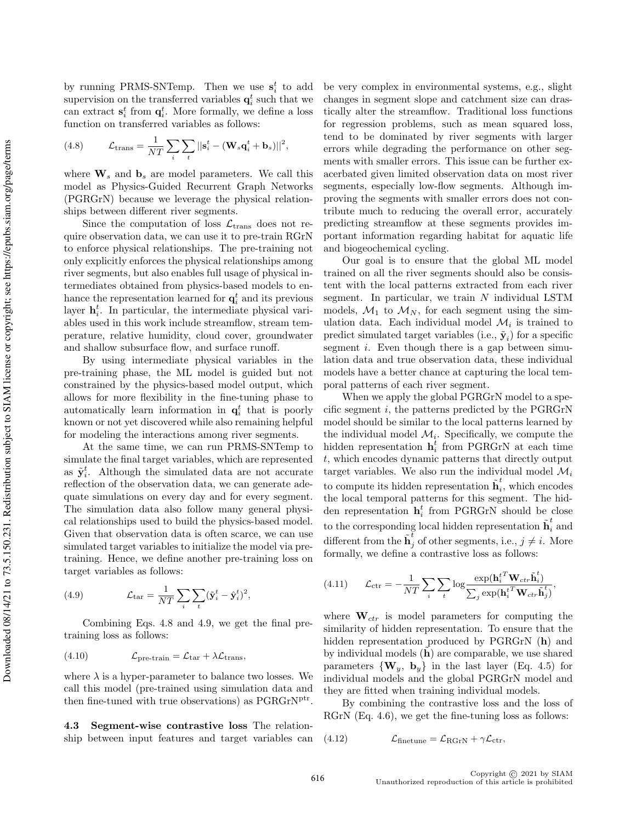by running PRMS-SNTemp. Then we use  $s_i^t$  to add supervision on the transferred variables  $\mathbf{q}_i^t$  such that we can extract  $\mathbf{s}_i^t$  from  $\mathbf{q}_i^t$ . More formally, we define a loss function on transferred variables as follows:

,

(4.8) 
$$
\mathcal{L}_{\text{trans}} = \frac{1}{NT} \sum_{i} \sum_{t} ||\mathbf{s}_{i}^{t} - (\mathbf{W}_{s} \mathbf{q}_{i}^{t} + \mathbf{b}_{s})||^{2}
$$

where  $\mathbf{W}_s$  and  $\mathbf{b}_s$  are model parameters. We call this model as Physics-Guided Recurrent Graph Networks (PGRGrN) because we leverage the physical relationships between different river segments.

Since the computation of loss  $\mathcal{L}_{\text{trans}}$  does not require observation data, we can use it to pre-train RGrN to enforce physical relationships. The pre-training not only explicitly enforces the physical relationships among river segments, but also enables full usage of physical intermediates obtained from physics-based models to enhance the representation learned for  $\mathbf{q}_i^t$  and its previous layer  $\mathbf{h}_i^t$ . In particular, the intermediate physical variables used in this work include streamflow, stream temperature, relative humidity, cloud cover, groundwater and shallow subsurface flow, and surface runoff.

By using intermediate physical variables in the pre-training phase, the ML model is guided but not constrained by the physics-based model output, which allows for more flexibility in the fine-tuning phase to automatically learn information in  $q_i^t$  that is poorly known or not yet discovered while also remaining helpful for modeling the interactions among river segments.

At the same time, we can run PRMS-SNTemp to simulate the final target variables, which are represented as  $\tilde{\mathbf{y}}_i^t$ . Although the simulated data are not accurate reflection of the observation data, we can generate adequate simulations on every day and for every segment. The simulation data also follow many general physical relationships used to build the physics-based model. Given that observation data is often scarce, we can use simulated target variables to initialize the model via pretraining. Hence, we define another pre-training loss on target variables as follows:

(4.9) 
$$
\mathcal{L}_{\text{tar}} = \frac{1}{NT} \sum_{i} \sum_{t} (\tilde{\mathbf{y}}_{i}^{t} - \hat{\mathbf{y}}_{i}^{t})^{2},
$$

Combining Eqs. 4.8 and 4.9, we get the final pretraining loss as follows:

(4.10) 
$$
\mathcal{L}_{\text{pre-train}} = \mathcal{L}_{\text{tar}} + \lambda \mathcal{L}_{\text{trans}},
$$

where  $\lambda$  is a hyper-parameter to balance two losses. We call this model (pre-trained using simulation data and then fine-tuned with true observations) as PGRGrN<sup>ptr</sup>.

4.3 Segment-wise contrastive loss The relationship between input features and target variables can be very complex in environmental systems, e.g., slight changes in segment slope and catchment size can drastically alter the streamflow. Traditional loss functions for regression problems, such as mean squared loss, tend to be dominated by river segments with larger errors while degrading the performance on other segments with smaller errors. This issue can be further exacerbated given limited observation data on most river segments, especially low-flow segments. Although improving the segments with smaller errors does not contribute much to reducing the overall error, accurately predicting streamflow at these segments provides important information regarding habitat for aquatic life and biogeochemical cycling.

Our goal is to ensure that the global ML model trained on all the river segments should also be consistent with the local patterns extracted from each river segment. In particular, we train  $N$  individual LSTM models,  $\mathcal{M}_1$  to  $\mathcal{M}_N$ , for each segment using the simulation data. Each individual model  $\mathcal{M}_i$  is trained to predict simulated target variables (i.e.,  $\tilde{\mathbf{y}}_i$ ) for a specific segment *i*. Even though there is a gap between simulation data and true observation data, these individual models have a better chance at capturing the local temporal patterns of each river segment.

When we apply the global PGRGrN model to a specific segment  $i$ , the patterns predicted by the PGRGrN model should be similar to the local patterns learned by the individual model  $\mathcal{M}_i$ . Specifically, we compute the hidden representation  $\mathbf{h}_i^t$  from PGRGrN at each time t, which encodes dynamic patterns that directly output target variables. We also run the individual model  $\mathcal{M}_i$ to compute its hidden representation  $\tilde{\mathbf{h}}_i^t$  $i$ , which encodes the local temporal patterns for this segment. The hidden representation  $\mathbf{h}_i^t$  from PGRGrN should be close to the corresponding local hidden representation  $\tilde{\textbf{h}}_{i}^{t}$  and different from the  $\tilde{\mathbf{h}}_j^t$  of other segments, i.e.,  $j \neq i$ . More formally, we define a contrastive loss as follows:

(4.11) 
$$
\mathcal{L}_{\text{ctr}} = -\frac{1}{NT} \sum_{i} \sum_{t} \log \frac{\exp(\mathbf{h}_{i}^{tT} \mathbf{W}_{ctr} \tilde{\mathbf{h}}_{i}^{t})}{\sum_{j} \exp(\mathbf{h}_{i}^{tT} \mathbf{W}_{ctr} \tilde{\mathbf{h}}_{j}^{t})},
$$

where  $\mathbf{W}_{ctr}$  is model parameters for computing the similarity of hidden representation. To ensure that the hidden representation produced by PGRGrN (h) and by individual models  $(h)$  are comparable, we use shared parameters  $\{W_y, b_y\}$  in the last layer (Eq. 4.5) for individual models and the global PGRGrN model and they are fitted when training individual models.

By combining the contrastive loss and the loss of RGrN (Eq. 4.6), we get the fine-tuning loss as follows:

(4.12) 
$$
\mathcal{L}_{\text{finetune}} = \mathcal{L}_{\text{RGrN}} + \gamma \mathcal{L}_{\text{ctr}},
$$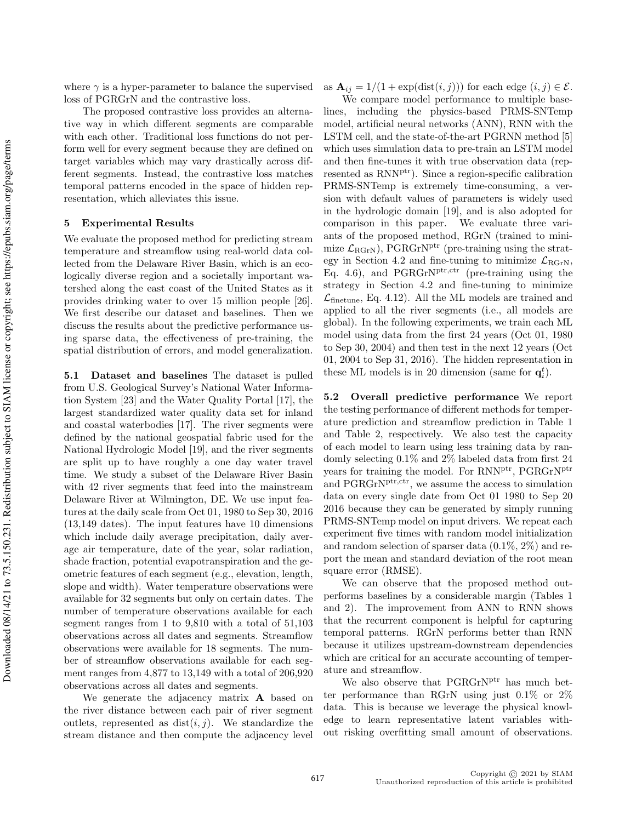where  $\gamma$  is a hyper-parameter to balance the supervised loss of PGRGrN and the contrastive loss.

The proposed contrastive loss provides an alternative way in which different segments are comparable with each other. Traditional loss functions do not perform well for every segment because they are defined on target variables which may vary drastically across different segments. Instead, the contrastive loss matches temporal patterns encoded in the space of hidden representation, which alleviates this issue.

#### 5 Experimental Results

We evaluate the proposed method for predicting stream temperature and streamflow using real-world data collected from the Delaware River Basin, which is an ecologically diverse region and a societally important watershed along the east coast of the United States as it provides drinking water to over 15 million people [26]. We first describe our dataset and baselines. Then we discuss the results about the predictive performance using sparse data, the effectiveness of pre-training, the spatial distribution of errors, and model generalization.

5.1 Dataset and baselines The dataset is pulled from U.S. Geological Survey's National Water Information System [23] and the Water Quality Portal [17], the largest standardized water quality data set for inland and coastal waterbodies [17]. The river segments were defined by the national geospatial fabric used for the National Hydrologic Model [19], and the river segments are split up to have roughly a one day water travel time. We study a subset of the Delaware River Basin with 42 river segments that feed into the mainstream Delaware River at Wilmington, DE. We use input features at the daily scale from Oct 01, 1980 to Sep 30, 2016 (13,149 dates). The input features have 10 dimensions which include daily average precipitation, daily average air temperature, date of the year, solar radiation, shade fraction, potential evapotranspiration and the geometric features of each segment (e.g., elevation, length, slope and width). Water temperature observations were available for 32 segments but only on certain dates. The number of temperature observations available for each segment ranges from 1 to 9,810 with a total of 51,103 observations across all dates and segments. Streamflow observations were available for 18 segments. The number of streamflow observations available for each segment ranges from 4,877 to 13,149 with a total of 206,920 observations across all dates and segments.

We generate the adjacency matrix **A** based on the river distance between each pair of river segment outlets, represented as  $dist(i, j)$ . We standardize the stream distance and then compute the adjacency level as  $\mathbf{A}_{ij} = 1/(1 + \exp(\text{dist}(i, j)))$  for each edge  $(i, j) \in \mathcal{E}$ .

We compare model performance to multiple baselines, including the physics-based PRMS-SNTemp model, artificial neural networks (ANN), RNN with the LSTM cell, and the state-of-the-art PGRNN method [5] which uses simulation data to pre-train an LSTM model and then fine-tunes it with true observation data (represented as RNN<sup>ptr</sup>). Since a region-specific calibration PRMS-SNTemp is extremely time-consuming, a version with default values of parameters is widely used in the hydrologic domain [19], and is also adopted for comparison in this paper. We evaluate three variants of the proposed method, RGrN (trained to minimize  $\mathcal{L}_{\text{RGrN}}$ ), PGRGrN<sup>ptr</sup> (pre-training using the strategy in Section 4.2 and fine-tuning to minimize  $\mathcal{L}_{\text{RGrN}},$ Eq. 4.6), and PGRGr $N<sup>ptr,ctr</sup>$  (pre-training using the strategy in Section 4.2 and fine-tuning to minimize  $\mathcal{L}_{\text{finetune}}$ , Eq. 4.12). All the ML models are trained and applied to all the river segments (i.e., all models are global). In the following experiments, we train each ML model using data from the first 24 years (Oct 01, 1980 to Sep 30, 2004) and then test in the next 12 years (Oct 01, 2004 to Sep 31, 2016). The hidden representation in these ML models is in 20 dimension (same for  $\mathbf{q}_i^t$ ).

5.2 Overall predictive performance We report the testing performance of different methods for temperature prediction and streamflow prediction in Table 1 and Table 2, respectively. We also test the capacity of each model to learn using less training data by randomly selecting 0.1% and 2% labeled data from first 24 years for training the model. For RNNptr, PGRGrNptr and PGRGrN<sup>ptr,ctr</sup>, we assume the access to simulation data on every single date from Oct 01 1980 to Sep 20 2016 because they can be generated by simply running PRMS-SNTemp model on input drivers. We repeat each experiment five times with random model initialization and random selection of sparser data  $(0.1\%, 2\%)$  and report the mean and standard deviation of the root mean square error (RMSE).

We can observe that the proposed method outperforms baselines by a considerable margin (Tables 1 and 2). The improvement from ANN to RNN shows that the recurrent component is helpful for capturing temporal patterns. RGrN performs better than RNN because it utilizes upstream-downstream dependencies which are critical for an accurate accounting of temperature and streamflow.

We also observe that PGRGrN<sup>ptr</sup> has much better performance than RGrN using just 0.1% or 2% data. This is because we leverage the physical knowledge to learn representative latent variables without risking overfitting small amount of observations.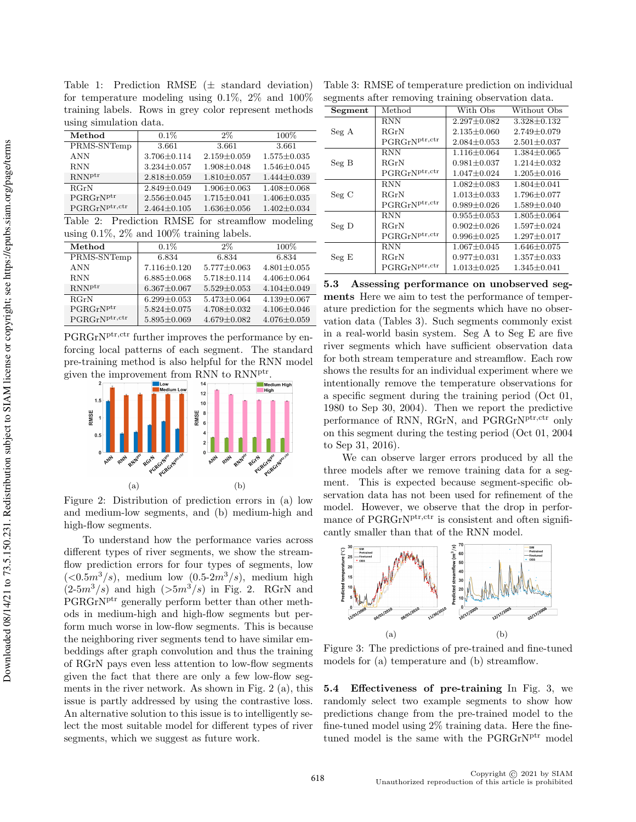Table 1: Prediction RMSE  $(\pm$  standard deviation) for temperature modeling using 0.1%, 2% and 100% training labels. Rows in grey color represent methods using simulation data.

| Method                                           | $0.1\%$           | $2\%$             | 100%              |
|--------------------------------------------------|-------------------|-------------------|-------------------|
| PRMS-SNTemp                                      | 3.661             | 3.661             | 3.661             |
| <b>ANN</b>                                       | $3.706 \pm 0.114$ | $2.159 \pm 0.059$ | $1.575 \pm 0.035$ |
| <b>RNN</b>                                       | $3.234 \pm 0.057$ | $1.908 \pm 0.048$ | $1.546 \pm 0.045$ |
| RNN <sup>ptr</sup>                               | $2.818 \pm 0.059$ | $1.810 \pm 0.057$ | $1.444\pm0.039$   |
| RGrN                                             | $2.849 + 0.049$   | $1.906 + 0.063$   | $1.408 \pm 0.068$ |
| $\mathrm{PGRGrN^{ptr}}$                          | $2.556 \pm 0.045$ | $1.715 \pm 0.041$ | $1.406 \pm 0.035$ |
| PGRGrN <sub>ptr,ctr</sub>                        | $2.464 \pm 0.105$ | $1.636 \pm 0.056$ | $1.402 \pm 0.034$ |
| Table 2: Prediction RMSE for streamflow modeling |                   |                   |                   |
|                                                  |                   |                   |                   |

using 0.1%, 2% and 100% training labels.

| Method                    | $0.1\%$           | $2\%$             | $100\%$           |
|---------------------------|-------------------|-------------------|-------------------|
| PRMS-SNTemp               | 6.834             | 6.834             | 6.834             |
| <b>ANN</b>                | $7.116 \pm 0.120$ | $5.777 \pm 0.063$ | $4.801 \pm 0.055$ |
| <b>RNN</b>                | $6.885 \pm 0.068$ | $5.718 \pm 0.114$ | $4.406 \pm 0.064$ |
| $RNN^{ptr}$               | $6.367 \pm 0.067$ | $5.529 + 0.053$   | $4.104 \pm 0.049$ |
| RGrN                      | $6.299 + 0.053$   | $5.473 + 0.064$   | $4.139 \pm 0.067$ |
| PGRGrN <sup>ptr</sup>     | $5.824 \pm 0.075$ | $4.708 + 0.032$   | $4.106 \pm 0.046$ |
| PGRGrN <sub>ptr,ctr</sub> | $5.895 \pm 0.069$ | $4.679 \pm 0.082$ | $4.076 \pm 0.059$ |

PGRGrN<sup>ptr,ctr</sup> further improves the performance by enforcing local patterns of each segment. The standard pre-training method is also helpful for the RNN model given the improvement from RNN to RNN<sup>ptr</sup>.



Figure 2: Distribution of prediction errors in (a) low and medium-low segments, and (b) medium-high and high-flow segments.

To understand how the performance varies across different types of river segments, we show the streamflow prediction errors for four types of segments, low  $(<0.5<sup>3</sup>/s)$ , medium low  $(0.5-2<sup>3</sup>/s)$ , medium high  $(2-5m^3/s)$  and high  $(5m^3/s)$  in Fig. 2. RGrN and PGRGrN<sup>ptr</sup> generally perform better than other methods in medium-high and high-flow segments but perform much worse in low-flow segments. This is because the neighboring river segments tend to have similar embeddings after graph convolution and thus the training of RGrN pays even less attention to low-flow segments given the fact that there are only a few low-flow segments in the river network. As shown in Fig. 2 (a), this issue is partly addressed by using the contrastive loss. An alternative solution to this issue is to intelligently select the most suitable model for different types of river segments, which we suggest as future work.

Table 3: RMSE of temperature prediction on individual segments after removing training observation data.

| Segment  | Method                                        | With Obs          | Without Obs       |  |
|----------|-----------------------------------------------|-------------------|-------------------|--|
| Seg A    | <b>RNN</b>                                    | $2.297 \pm 0.082$ | $3.328 \pm 0.132$ |  |
|          | RGrN                                          | $2.135 \pm 0.060$ | $2.749 + 0.079$   |  |
|          | PGRGrNptr,ctr                                 | $2.084 \pm 0.053$ | $2.501 \pm 0.037$ |  |
| Seg B    | <b>RNN</b>                                    | $1.116 \pm 0.064$ | $1.384 \pm 0.065$ |  |
|          | $_{\rm RGrN}$                                 | $0.981 \pm 0.037$ | $1.214 \pm 0.032$ |  |
|          | PGRGrN <sup>ptr,ctr</sup>                     | $1.047 \pm 0.024$ | $1.205 \pm 0.016$ |  |
| $Seg\ C$ | <b>RNN</b>                                    | $1.082 \pm 0.083$ | $1.804 \pm 0.041$ |  |
|          | RGrN                                          | $1.013 \pm 0.033$ | $1.796 \pm 0.077$ |  |
|          | $\mathrm{PGRGrN}^{\mathrm{ptr},\mathrm{ctr}}$ | $0.989 \pm 0.026$ | $1.589 \pm 0.040$ |  |
| $Seg\;D$ | <b>RNN</b>                                    | $0.955 \pm 0.053$ | $1.805 \pm 0.064$ |  |
|          | RGrN                                          | $0.902 \pm 0.026$ | $1.597 \pm 0.024$ |  |
|          | PGRGrNptr,ctr                                 | $0.996 \pm 0.025$ | $1.297 \pm 0.017$ |  |
| Seg E    | RNN                                           | $1.067 \pm 0.045$ | $1.646 \pm 0.075$ |  |
|          | RGrN                                          | $0.977 \pm 0.031$ | $1.357 \pm 0.033$ |  |
|          | PGRGrNptr,ctr                                 | $1.013 \pm 0.025$ | $1.345 \pm 0.041$ |  |

5.3 Assessing performance on unobserved segments Here we aim to test the performance of temperature prediction for the segments which have no observation data (Tables 3). Such segments commonly exist in a real-world basin system. Seg A to Seg E are five river segments which have sufficient observation data for both stream temperature and streamflow. Each row shows the results for an individual experiment where we intentionally remove the temperature observations for a specific segment during the training period (Oct 01, 1980 to Sep 30, 2004). Then we report the predictive performance of RNN, RGrN, and PGRGrN<sup>ptr,ctr</sup> only on this segment during the testing period (Oct 01, 2004 to Sep 31, 2016).

We can observe larger errors produced by all the three models after we remove training data for a segment. This is expected because segment-specific observation data has not been used for refinement of the model. However, we observe that the drop in performance of PGRGrN<sup>ptr,ctr</sup> is consistent and often significantly smaller than that of the RNN model.



Figure 3: The predictions of pre-trained and fine-tuned models for (a) temperature and (b) streamflow.

5.4 Effectiveness of pre-training In Fig. 3, we randomly select two example segments to show how predictions change from the pre-trained model to the fine-tuned model using 2% training data. Here the finetuned model is the same with the PGRGrN<sup>ptr</sup> model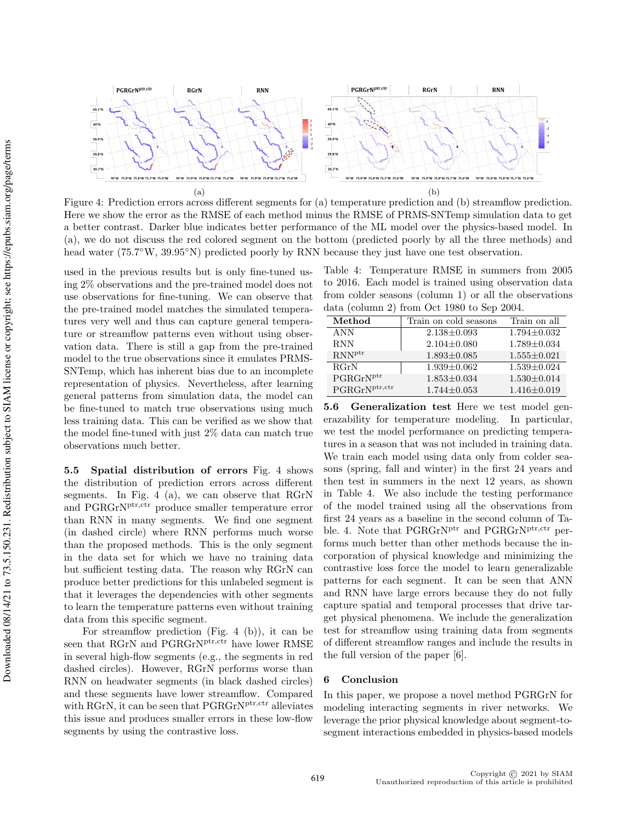

Figure 4: Prediction errors across different segments for (a) temperature prediction and (b) streamflow prediction. Here we show the error as the RMSE of each method minus the RMSE of PRMS-SNTemp simulation data to get a better contrast. Darker blue indicates better performance of the ML model over the physics-based model. In (a), we do not discuss the red colored segment on the bottom (predicted poorly by all the three methods) and head water (75.7°W, 39.95°N) predicted poorly by RNN because they just have one test observation.

used in the previous results but is only fine-tuned using 2% observations and the pre-trained model does not use observations for fine-tuning. We can observe that the pre-trained model matches the simulated temperatures very well and thus can capture general temperature or streamflow patterns even without using observation data. There is still a gap from the pre-trained model to the true observations since it emulates PRMS-SNTemp, which has inherent bias due to an incomplete representation of physics. Nevertheless, after learning general patterns from simulation data, the model can be fine-tuned to match true observations using much less training data. This can be verified as we show that the model fine-tuned with just 2% data can match true observations much better.

5.5 Spatial distribution of errors Fig. 4 shows the distribution of prediction errors across different segments. In Fig. 4 (a), we can observe that RGrN and PGRGrNptr,ctr produce smaller temperature error than RNN in many segments. We find one segment (in dashed circle) where RNN performs much worse than the proposed methods. This is the only segment in the data set for which we have no training data but sufficient testing data. The reason why RGrN can produce better predictions for this unlabeled segment is that it leverages the dependencies with other segments to learn the temperature patterns even without training data from this specific segment.

For streamflow prediction (Fig. 4 (b)), it can be seen that RGrN and PGRGrN<sup>ptr,ctr</sup> have lower RMSE in several high-flow segments (e.g., the segments in red dashed circles). However, RGrN performs worse than RNN on headwater segments (in black dashed circles) and these segments have lower streamflow. Compared with RGrN, it can be seen that PGRGrN<sup>ptr,ctr</sup> alleviates this issue and produces smaller errors in these low-flow segments by using the contrastive loss.

Table 4: Temperature RMSE in summers from 2005 to 2016. Each model is trained using observation data from colder seasons (column 1) or all the observations data (column 2) from Oct 1980 to Sep 2004.

| Method                | Train on cold seasons | Train on all      |
|-----------------------|-----------------------|-------------------|
| ANN                   | $2.138 \pm 0.093$     | $1.794 \pm 0.032$ |
| <b>RNN</b>            | $2.104 \pm 0.080$     | $1.789 \pm 0.034$ |
| $RNN^{ptr}$           | $1.893 \pm 0.085$     | $1.555 \pm 0.021$ |
| RGrN                  | $1.939 \pm 0.062$     | $1.539 \pm 0.024$ |
| PGRGrN <sup>ptr</sup> | $1.853 \pm 0.034$     | $1.530 \pm 0.014$ |
| $PGRGrN^{ptr,ctr}$    | $1.744 \pm 0.053$     | $1.416 \pm 0.019$ |

5.6 Generalization test Here we test model generazability for temperature modeling. In particular, we test the model performance on predicting temperatures in a season that was not included in training data. We train each model using data only from colder seasons (spring, fall and winter) in the first 24 years and then test in summers in the next 12 years, as shown in Table 4. We also include the testing performance of the model trained using all the observations from first 24 years as a baseline in the second column of Table. 4. Note that PGRGrN<sup>ptr</sup> and PGRGrN<sup>ptr,ctr</sup> performs much better than other methods because the incorporation of physical knowledge and minimizing the contrastive loss force the model to learn generalizable patterns for each segment. It can be seen that ANN and RNN have large errors because they do not fully capture spatial and temporal processes that drive target physical phenomena. We include the generalization test for streamflow using training data from segments of different streamflow ranges and include the results in the full version of the paper [6].

# 6 Conclusion

In this paper, we propose a novel method PGRGrN for modeling interacting segments in river networks. We leverage the prior physical knowledge about segment-tosegment interactions embedded in physics-based models